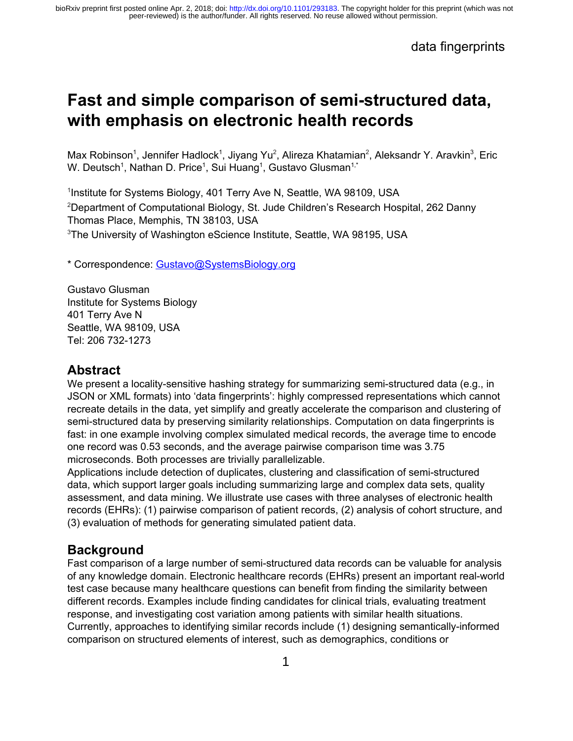# **Fast and simple comparison of semi-structured data, with emphasis on electronic health records**

Max Robinson<sup>1</sup>, Jennifer Hadlock<sup>1</sup>, Jiyang Yu<sup>2</sup>, Alireza Khatamian<sup>2</sup>, Aleksandr Y. Aravkin<sup>3</sup>, Eric W. Deutsch<sup>1</sup>, Nathan D. Price<sup>1</sup>, Sui Huang<sup>1</sup>, Gustavo Glusman<sup>1,\*</sup>

<sup>1</sup>Institute for Systems Biology, 401 Terry Ave N, Seattle, WA 98109, USA <sup>2</sup>Department of Computational Biology, St. Jude Children's Research Hospital, 262 Danny Thomas Place, Memphis, TN 38103, USA <sup>3</sup>The University of Washington eScience Institute, Seattle, WA 98195, USA

\* Correspondence: [Gustavo@SystemsBiology.org](mailto:Gustavo@systemsbiology.org)

Gustavo Glusman Institute for Systems Biology 401 Terry Ave N Seattle, WA 98109, USA Tel: 206 732-1273

### **Abstract**

We present a locality-sensitive hashing strategy for summarizing semi-structured data (e.g., in JSON or XML formats) into 'data fingerprints': highly compressed representations which cannot recreate details in the data, yet simplify and greatly accelerate the comparison and clustering of semi-structured data by preserving similarity relationships. Computation on data fingerprints is fast: in one example involving complex simulated medical records, the average time to encode one record was 0.53 seconds, and the average pairwise comparison time was 3.75 microseconds. Both processes are trivially parallelizable.

Applications include detection of duplicates, clustering and classification of semi-structured data, which support larger goals including summarizing large and complex data sets, quality assessment, and data mining. We illustrate use cases with three analyses of electronic health records (EHRs): (1) pairwise comparison of patient records, (2) analysis of cohort structure, and (3) evaluation of methods for generating simulated patient data.

### **Background**

Fast comparison of a large number of semi-structured data records can be valuable for analysis of any knowledge domain. Electronic healthcare records (EHRs) present an important real-world test case because many healthcare questions can benefit from finding the similarity between different records. Examples include finding candidates for clinical trials, evaluating treatment response, and investigating cost variation among patients with similar health situations. Currently, approaches to identifying similar records include (1) designing semantically-informed comparison on structured elements of interest, such as demographics, conditions or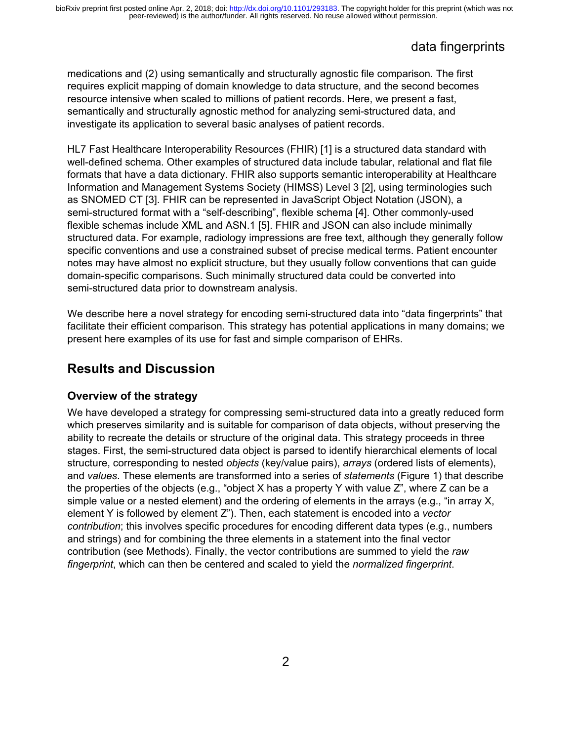# data fingerprints

medications and (2) using semantically and structurally agnostic file comparison. The first requires explicit mapping of domain knowledge to data structure, and the second becomes resource intensive when scaled to millions of patient records. Here, we present a fast, semantically and structurally agnostic method for analyzing semi-structured data, and investigate its application to several basic analyses of patient records.

HL7 Fast Healthcare Interoperability Resources (FHIR) [\[1\]](https://paperpile.com/c/cFS1p9/438n) is a structured data standard with well-defined schema. Other examples of structured data include tabular, relational and flat file formats that have a data dictionary. FHIR also supports semantic interoperability at Healthcare Information and Management Systems Society (HIMSS) Level 3 [\[2\],](https://paperpile.com/c/cFS1p9/a8c6) using terminologies such as SNOMED CT [\[3\].](https://paperpile.com/c/cFS1p9/mKwk) FHIR can be represented in JavaScript Object Notation (JSON), a semi-structured format with a "self-describing", flexible schema [\[4\].](https://paperpile.com/c/cFS1p9/LTws) Other commonly-used flexible schemas include XML and ASN.1 [\[5\]](https://paperpile.com/c/cFS1p9/EMpv). FHIR and JSON can also include minimally structured data. For example, radiology impressions are free text, although they generally follow specific conventions and use a constrained subset of precise medical terms. Patient encounter notes may have almost no explicit structure, but they usually follow conventions that can guide domain-specific comparisons. Such minimally structured data could be converted into semi-structured data prior to downstream analysis.

We describe here a novel strategy for encoding semi-structured data into "data fingerprints" that facilitate their efficient comparison. This strategy has potential applications in many domains; we present here examples of its use for fast and simple comparison of EHRs.

### **Results and Discussion**

#### **Overview of the strategy**

We have developed a strategy for compressing semi-structured data into a greatly reduced form which preserves similarity and is suitable for comparison of data objects, without preserving the ability to recreate the details or structure of the original data. This strategy proceeds in three stages. First, the semi-structured data object is parsed to identify hierarchical elements of local structure, corresponding to nested *objects* (key/value pairs), *arrays* (ordered lists of elements), and *values*. These elements are transformed into a series of *statements* (Figure 1) that describe the properties of the objects (e.g., "object X has a property Y with value Z", where Z can be a simple value or a nested element) and the ordering of elements in the arrays (e.g., "in array X, element Y is followed by element Z"). Then, each statement is encoded into a *vector contribution*; this involves specific procedures for encoding different data types (e.g., numbers and strings) and for combining the three elements in a statement into the final vector contribution (see Methods). Finally, the vector contributions are summed to yield the *raw fingerprint*, which can then be centered and scaled to yield the *normalized fingerprint*.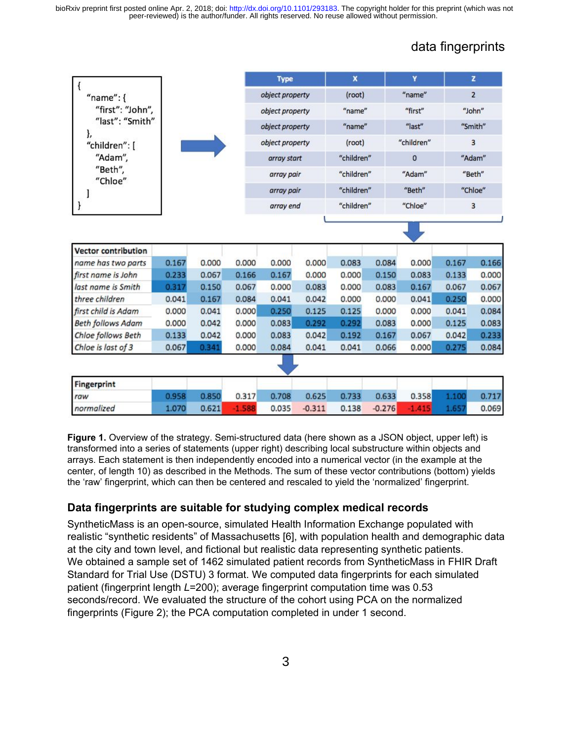# data fingerprints

|                            |                  |       |          | <b>Type</b>     |          | $\mathbf{x}$ |          | Y            |       | $\mathbf{z}$   |  |
|----------------------------|------------------|-------|----------|-----------------|----------|--------------|----------|--------------|-------|----------------|--|
| $"name":$ {                |                  |       |          | object property |          | (root)       |          | "name"       |       | $\overline{2}$ |  |
|                            | "first": "John", |       |          | object property |          | "name"       |          | "first"      |       | "John"         |  |
| "last": "Smith"            |                  |       |          | object property |          | "name"       |          | "last"       |       | "Smith"        |  |
| ł,<br>"children": [        |                  |       |          | object property |          | (root)       |          | "children"   |       | 3              |  |
| "Adam",                    |                  |       |          | array start     |          | "children"   |          | $\mathbf{0}$ |       | "Adam"         |  |
| "Beth",                    |                  |       |          | array pair      |          | "children"   |          | "Adam"       |       | "Beth"         |  |
| "Chloe"                    |                  |       |          |                 |          |              |          | "Beth"       |       |                |  |
|                            |                  |       |          | array pair      |          | "children"   |          |              |       | "Chloe"        |  |
|                            |                  |       |          | array end       |          | "children"   |          | "Chloe"      |       | 3              |  |
| <b>Vector contribution</b> |                  |       |          |                 |          |              |          |              |       |                |  |
| name has two parts         | 0.167            | 0.000 | 0.000    | 0.000           | 0.000    | 0.083        | 0.084    | 0.000        | 0.167 | 0.166          |  |
| first name is John         | 0.233            | 0.067 | 0.166    | 0.167           | 0.000    | 0.000        | 0.150    | 0.083        | 0.133 | 0.000          |  |
| last name is Smith         | 0.317            | 0.150 | 0.067    | 0.000           | 0.083    | 0.000        | 0.083    | 0.167        | 0.067 | 0.067          |  |
| three children             | 0.041            | 0.167 | 0.084    | 0.041           | 0.042    | 0.000        | 0.000    | 0.041        | 0.250 | 0.000          |  |
| first child is Adam        | 0.000            | 0.041 | 0.000    | 0.250           | 0.125    | 0.125        | 0.000    | 0.000        | 0.041 | 0.084          |  |
| <b>Beth follows Adam</b>   | 0.000            | 0.042 | 0.000    | 0.083           | 0.292    | 0.292        | 0.083    | 0.000        | 0.125 | 0.083          |  |
| Chloe follows Beth         | 0.133            | 0.042 | 0.000    | 0.083           | 0.042    | 0.192        | 0.167    | 0.067        | 0.042 | 0.233          |  |
| Chloe is last of 3         | 0.067            | 0.341 | 0.000    | 0.084           | 0.041    | 0.041        | 0.066    | 0.000        | 0.275 | 0.084          |  |
|                            |                  |       |          |                 |          |              |          |              |       |                |  |
| <b>Fingerprint</b>         |                  |       |          |                 |          |              |          |              |       |                |  |
| raw                        | 0.958            | 0.850 | 0.317    | 0.708           | 0.625    | 0.733        | 0.633    | 0.358        | 1.100 | 0.717          |  |
| normalized                 | 1.070            | 0.621 | $-1.588$ | 0.035           | $-0.311$ | 0.138        | $-0.276$ | $-1.415$     | 1.657 | 0.069          |  |

**Figure 1.** Overview of the strategy. Semi-structured data (here shown as a JSON object, upper left) is transformed into a series of statements (upper right) describing local substructure within objects and arrays. Each statement is then independently encoded into a numerical vector (in the example at the center, of length 10) as described in the Methods. The sum of these vector contributions (bottom) yields the 'raw' fingerprint, which can then be centered and rescaled to yield the 'normalized' fingerprint.

#### **Data fingerprints are suitable for studying complex medical records**

SyntheticMass is an open-source, simulated Health Information Exchange populated with realistic "synthetic residents" of Massachusetts [\[6\]](https://paperpile.com/c/cFS1p9/gWM4), with population health and demographic data at the city and town level, and fictional but realistic data representing synthetic patients. We obtained a sample set of 1462 simulated patient records from SyntheticMass in FHIR Draft Standard for Trial Use (DSTU) 3 format. We computed data fingerprints for each simulated patient (fingerprint length *L*=200); average fingerprint computation time was 0.53 seconds/record. We evaluated the structure of the cohort using PCA on the normalized fingerprints (Figure 2); the PCA computation completed in under 1 second.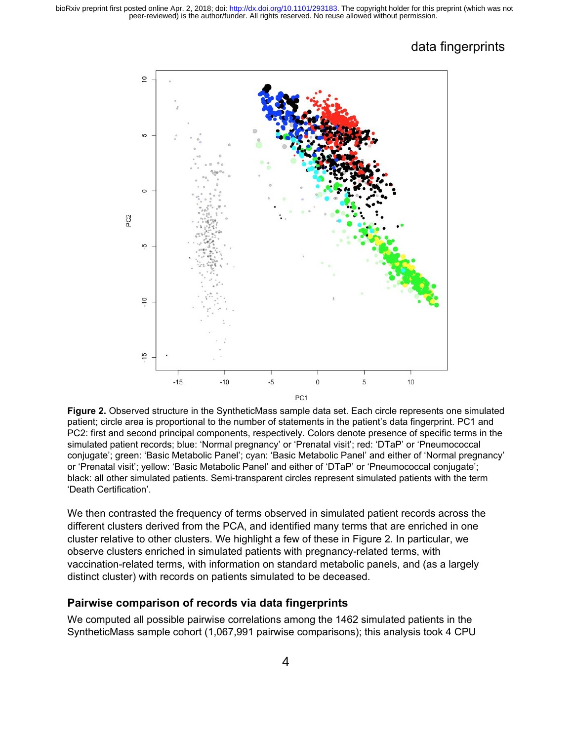

**Figure 2.** Observed structure in the SyntheticMass sample data set. Each circle represents one simulated patient; circle area is proportional to the number of statements in the patient's data fingerprint. PC1 and PC2: first and second principal components, respectively. Colors denote presence of specific terms in the simulated patient records; blue: 'Normal pregnancy' or 'Prenatal visit'; red: 'DTaP' or 'Pneumococcal conjugate'; green: 'Basic Metabolic Panel'; cyan: 'Basic Metabolic Panel' and either of 'Normal pregnancy' or 'Prenatal visit'; yellow: 'Basic Metabolic Panel' and either of 'DTaP' or 'Pneumococcal conjugate'; black: all other simulated patients. Semi-transparent circles represent simulated patients with the term 'Death Certification'.

We then contrasted the frequency of terms observed in simulated patient records across the different clusters derived from the PCA, and identified many terms that are enriched in one cluster relative to other clusters. We highlight a few of these in Figure 2. In particular, we observe clusters enriched in simulated patients with pregnancy-related terms, with vaccination-related terms, with information on standard metabolic panels, and (as a largely distinct cluster) with records on patients simulated to be deceased.

#### **Pairwise comparison of records via data fingerprints**

We computed all possible pairwise correlations among the 1462 simulated patients in the SyntheticMass sample cohort (1,067,991 pairwise comparisons); this analysis took 4 CPU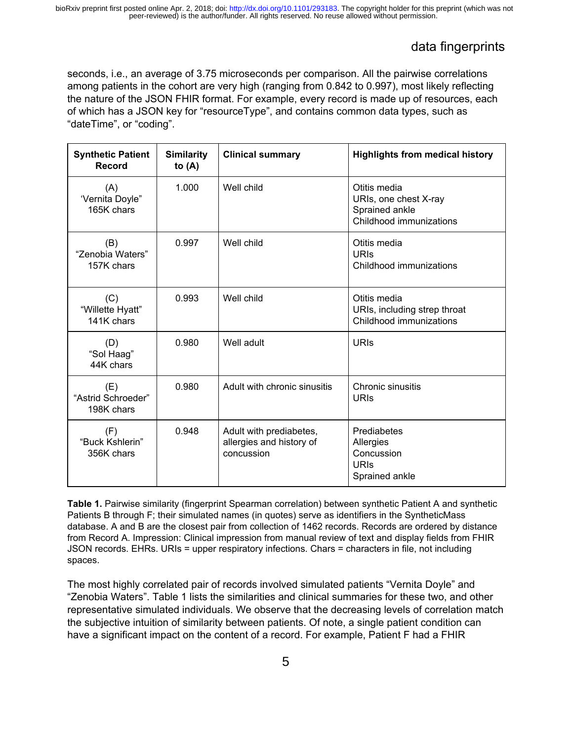seconds, i.e., an average of 3.75 microseconds per comparison. All the pairwise correlations among patients in the cohort are very high (ranging from 0.842 to 0.997), most likely reflecting the nature of the JSON FHIR format. For example, every record is made up of resources, each of which has a JSON key for "resourceType", and contains common data types, such as "dateTime", or "coding".

| <b>Synthetic Patient</b><br><b>Record</b>        | <b>Similarity</b><br>to $(A)$ | <b>Clinical summary</b>                                           | <b>Highlights from medical history</b>                                             |  |  |
|--------------------------------------------------|-------------------------------|-------------------------------------------------------------------|------------------------------------------------------------------------------------|--|--|
| (A)<br>'Vernita Doyle"<br>165K chars             | 1.000                         | Well child                                                        | Otitis media<br>URIs, one chest X-ray<br>Sprained ankle<br>Childhood immunizations |  |  |
| (B)<br>"Zenobia Waters"<br>157K chars            | 0.997                         | Well child                                                        | Otitis media<br><b>URIS</b><br>Childhood immunizations                             |  |  |
| (C)<br>"Willette Hyatt"<br>141K chars            | 0.993                         | Well child                                                        | Otitis media<br>URIs, including strep throat<br>Childhood immunizations            |  |  |
| (D)<br>"Sol Haag"<br>44K chars                   | 0.980                         | Well adult                                                        | <b>URIS</b>                                                                        |  |  |
| 0.980<br>(E)<br>"Astrid Schroeder"<br>198K chars |                               | Adult with chronic sinusitis                                      | Chronic sinusitis<br>URIS                                                          |  |  |
| 0.948<br>(F)<br>"Buck Kshlerin"<br>356K chars    |                               | Adult with prediabetes,<br>allergies and history of<br>concussion | Prediabetes<br>Allergies<br>Concussion<br><b>URIS</b><br>Sprained ankle            |  |  |

**Table 1.** Pairwise similarity (fingerprint Spearman correlation) between synthetic Patient A and synthetic Patients B through F; their simulated names (in quotes) serve as identifiers in the SyntheticMass database. A and B are the closest pair from collection of 1462 records. Records are ordered by distance from Record A. Impression: Clinical impression from manual review of text and display fields from FHIR JSON records. EHRs. URIs = upper respiratory infections. Chars = characters in file, not including spaces.

The most highly correlated pair of records involved simulated patients "Vernita Doyle" and "Zenobia Waters". Table 1 lists the similarities and clinical summaries for these two, and other representative simulated individuals. We observe that the decreasing levels of correlation match the subjective intuition of similarity between patients. Of note, a single patient condition can have a significant impact on the content of a record. For example, Patient F had a FHIR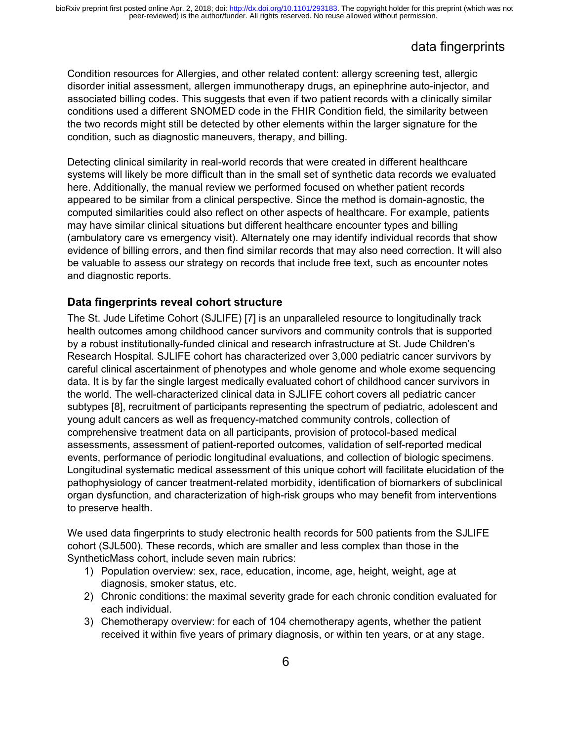# data fingerprints

Condition resources for Allergies, and other related content: allergy screening test, allergic disorder initial assessment, allergen immunotherapy drugs, an epinephrine auto-injector, and associated billing codes. This suggests that even if two patient records with a clinically similar conditions used a different SNOMED code in the FHIR Condition field, the similarity between the two records might still be detected by other elements within the larger signature for the condition, such as diagnostic maneuvers, therapy, and billing.

Detecting clinical similarity in real-world records that were created in different healthcare systems will likely be more difficult than in the small set of synthetic data records we evaluated here. Additionally, the manual review we performed focused on whether patient records appeared to be similar from a clinical perspective. Since the method is domain-agnostic, the computed similarities could also reflect on other aspects of healthcare. For example, patients may have similar clinical situations but different healthcare encounter types and billing (ambulatory care vs emergency visit). Alternately one may identify individual records that show evidence of billing errors, and then find similar records that may also need correction. It will also be valuable to assess our strategy on records that include free text, such as encounter notes and diagnostic reports.

#### **Data fingerprints reveal cohort structure**

The St. Jude Lifetime Cohort (SJLIFE) [\[7\]](https://paperpile.com/c/cFS1p9/vrW8) is an unparalleled resource to longitudinally track health outcomes among childhood cancer survivors and community controls that is supported by a robust institutionally-funded clinical and research infrastructure at St. Jude Children's Research Hospital. SJLIFE cohort has characterized over 3,000 pediatric cancer survivors by careful clinical ascertainment of phenotypes and whole genome and whole exome sequencing data. It is by far the single largest medically evaluated cohort of childhood cancer survivors in the world. The well-characterized clinical data in SJLIFE cohort covers all pediatric cancer subtypes [\[8\]](https://paperpile.com/c/cFS1p9/EGd2), recruitment of participants representing the spectrum of pediatric, adolescent and young adult cancers as well as frequency-matched community controls, collection of comprehensive treatment data on all participants, provision of protocol-based medical assessments, assessment of patient-reported outcomes, validation of self-reported medical events, performance of periodic longitudinal evaluations, and collection of biologic specimens. Longitudinal systematic medical assessment of this unique cohort will facilitate elucidation of the pathophysiology of cancer treatment-related morbidity, identification of biomarkers of subclinical organ dysfunction, and characterization of high-risk groups who may benefit from interventions to preserve health.

We used data fingerprints to study electronic health records for 500 patients from the SJLIFE cohort (SJL500). These records, which are smaller and less complex than those in the SyntheticMass cohort, include seven main rubrics:

- 1) Population overview: sex, race, education, income, age, height, weight, age at diagnosis, smoker status, etc.
- 2) Chronic conditions: the maximal severity grade for each chronic condition evaluated for each individual.
- 3) Chemotherapy overview: for each of 104 chemotherapy agents, whether the patient received it within five years of primary diagnosis, or within ten years, or at any stage.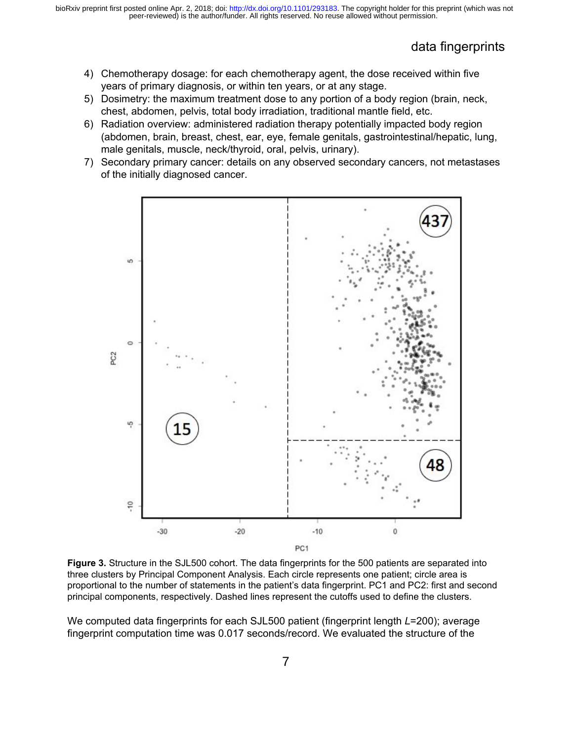- 4) Chemotherapy dosage: for each chemotherapy agent, the dose received within five years of primary diagnosis, or within ten years, or at any stage.
- 5) Dosimetry: the maximum treatment dose to any portion of a body region (brain, neck, chest, abdomen, pelvis, total body irradiation, traditional mantle field, etc.
- 6) Radiation overview: administered radiation therapy potentially impacted body region (abdomen, brain, breast, chest, ear, eye, female genitals, gastrointestinal/hepatic, lung, male genitals, muscle, neck/thyroid, oral, pelvis, urinary).
- 7) Secondary primary cancer: details on any observed secondary cancers, not metastases of the initially diagnosed cancer.



**Figure 3.** Structure in the SJL500 cohort. The data fingerprints for the 500 patients are separated into three clusters by Principal Component Analysis. Each circle represents one patient; circle area is proportional to the number of statements in the patient's data fingerprint. PC1 and PC2: first and second principal components, respectively. Dashed lines represent the cutoffs used to define the clusters.

We computed data fingerprints for each SJL500 patient (fingerprint length *L*=200); average fingerprint computation time was 0.017 seconds/record. We evaluated the structure of the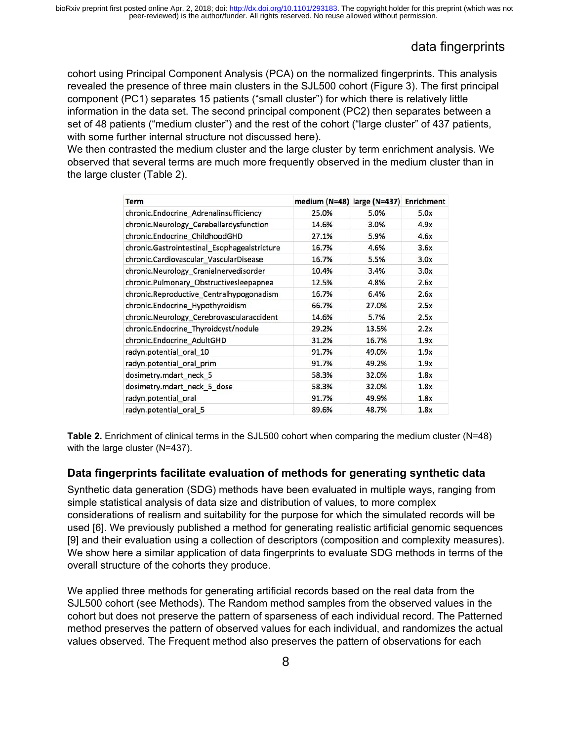# data fingerprints

cohort using Principal Component Analysis (PCA) on the normalized fingerprints. This analysis revealed the presence of three main clusters in the SJL500 cohort (Figure 3). The first principal component (PC1) separates 15 patients ("small cluster") for which there is relatively little information in the data set. The second principal component (PC2) then separates between a set of 48 patients ("medium cluster") and the rest of the cohort ("large cluster" of 437 patients, with some further internal structure not discussed here).

We then contrasted the medium cluster and the large cluster by term enrichment analysis. We observed that several terms are much more frequently observed in the medium cluster than in the large cluster (Table 2).

| <b>Term</b>                                  | medium (N=48) large (N=437) |       | <b>Enrichment</b> |
|----------------------------------------------|-----------------------------|-------|-------------------|
| chronic.Endocrine_Adrenalinsufficiency       | 25.0%                       | 5.0%  | 5.0x              |
| chronic.Neurology_Cerebellardysfunction      | 14.6%                       | 3.0%  | 4.9x              |
| chronic.Endocrine ChildhoodGHD               | 27.1%                       | 5.9%  | 4.6x              |
| chronic.Gastrointestinal_Esophagealstricture | 16.7%                       | 4.6%  | 3.6x              |
| chronic.Cardiovascular_VascularDisease       | 16.7%                       | 5.5%  | 3.0x              |
| chronic.Neurology Cranialnervedisorder       | 10.4%                       | 3.4%  | 3.0x              |
| chronic.Pulmonary_Obstructivesleepapnea      | 12.5%                       | 4.8%  | 2.6x              |
| chronic.Reproductive_Centralhypogonadism     | 16.7%                       | 6.4%  | 2.6x              |
| chronic.Endocrine_Hypothyroidism             | 66.7%                       | 27.0% | 2.5x              |
| chronic.Neurology_Cerebrovascularaccident    | 14.6%                       | 5.7%  | 2.5x              |
| chronic.Endocrine Thyroidcyst/nodule         | 29.2%                       | 13.5% | 2.2x              |
| chronic.Endocrine AdultGHD                   | 31.2%                       | 16.7% | 1.9x              |
| radyn.potential oral 10                      | 91.7%                       | 49.0% | 1.9x              |
| radyn.potential_oral_prim                    | 91.7%                       | 49.2% | 1.9x              |
| dosimetry.mdart_neck_5                       | 58.3%                       | 32.0% | 1.8x              |
| dosimetry.mdart_neck_5_dose                  | 58.3%                       | 32.0% | 1.8x              |
| radyn.potential oral                         | 91.7%                       | 49.9% | 1.8x              |
| radyn.potential_oral_5                       | 89.6%                       | 48.7% | 1.8x              |

**Table 2.** Enrichment of clinical terms in the SJL500 cohort when comparing the medium cluster (N=48) with the large cluster (N=437).

#### **Data fingerprints facilitate evaluation of methods for generating synthetic data**

Synthetic data generation (SDG) methods have been evaluated in multiple ways, ranging from simple statistical analysis of data size and distribution of values, to more complex considerations of realism and suitability for the purpose for which the simulated records will be used [\[6\]](https://paperpile.com/c/cFS1p9/gWM4). We previously published a method for generating realistic artificial genomic sequences [\[9\]](https://paperpile.com/c/cFS1p9/oP9v) and their evaluation using a collection of descriptors (composition and complexity measures). We show here a similar application of data fingerprints to evaluate SDG methods in terms of the overall structure of the cohorts they produce.

We applied three methods for generating artificial records based on the real data from the SJL500 cohort (see Methods). The Random method samples from the observed values in the cohort but does not preserve the pattern of sparseness of each individual record. The Patterned method preserves the pattern of observed values for each individual, and randomizes the actual values observed. The Frequent method also preserves the pattern of observations for each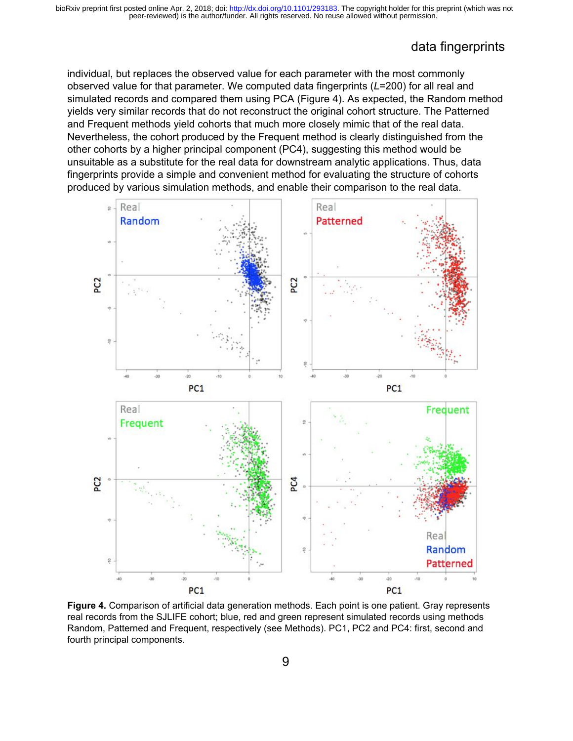### data fingerprints

individual, but replaces the observed value for each parameter with the most commonly observed value for that parameter. We computed data fingerprints (*L*=200) for all real and simulated records and compared them using PCA (Figure 4). As expected, the Random method yields very similar records that do not reconstruct the original cohort structure. The Patterned and Frequent methods yield cohorts that much more closely mimic that of the real data. Nevertheless, the cohort produced by the Frequent method is clearly distinguished from the other cohorts by a higher principal component (PC4), suggesting this method would be unsuitable as a substitute for the real data for downstream analytic applications. Thus, data fingerprints provide a simple and convenient method for evaluating the structure of cohorts produced by various simulation methods, and enable their comparison to the real data.



**Figure 4.** Comparison of artificial data generation methods. Each point is one patient. Gray represents real records from the SJLIFE cohort; blue, red and green represent simulated records using methods Random, Patterned and Frequent, respectively (see Methods). PC1, PC2 and PC4: first, second and fourth principal components.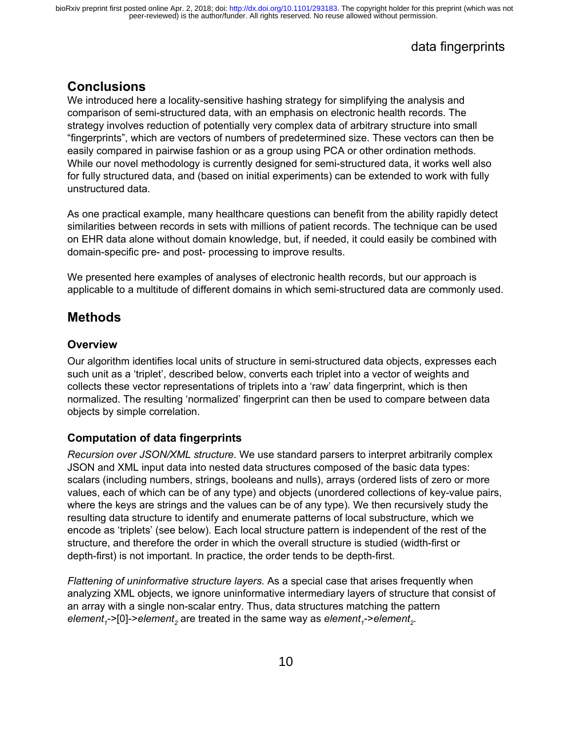### **Conclusions**

We introduced here a locality-sensitive hashing strategy for simplifying the analysis and comparison of semi-structured data, with an emphasis on electronic health records. The strategy involves reduction of potentially very complex data of arbitrary structure into small "fingerprints", which are vectors of numbers of predetermined size. These vectors can then be easily compared in pairwise fashion or as a group using PCA or other ordination methods. While our novel methodology is currently designed for semi-structured data, it works well also for fully structured data, and (based on initial experiments) can be extended to work with fully unstructured data.

As one practical example, many healthcare questions can benefit from the ability rapidly detect similarities between records in sets with millions of patient records. The technique can be used on EHR data alone without domain knowledge, but, if needed, it could easily be combined with domain-specific pre- and post- processing to improve results.

We presented here examples of analyses of electronic health records, but our approach is applicable to a multitude of different domains in which semi-structured data are commonly used.

### **Methods**

#### **Overview**

Our algorithm identifies local units of structure in semi-structured data objects, expresses each such unit as a 'triplet', described below, converts each triplet into a vector of weights and collects these vector representations of triplets into a 'raw' data fingerprint, which is then normalized. The resulting 'normalized' fingerprint can then be used to compare between data objects by simple correlation.

#### **Computation of data fingerprints**

*Recursion over JSON/XML structure.* We use standard parsers to interpret arbitrarily complex JSON and XML input data into nested data structures composed of the basic data types: scalars (including numbers, strings, booleans and nulls), arrays (ordered lists of zero or more values, each of which can be of any type) and objects (unordered collections of key-value pairs, where the keys are strings and the values can be of any type). We then recursively study the resulting data structure to identify and enumerate patterns of local substructure, which we encode as 'triplets' (see below). Each local structure pattern is independent of the rest of the structure, and therefore the order in which the overall structure is studied (width-first or depth-first) is not important. In practice, the order tends to be depth-first.

*Flattening of uninformative structure layers.* As a special case that arises frequently when analyzing XML objects, we ignore uninformative intermediary layers of structure that consist of an array with a single non-scalar entry. Thus, data structures matching the pattern element<sub>1</sub>->[0]->element<sub>2</sub> are treated in the same way as *element<sub>1</sub>->element<sub>2</sub>.*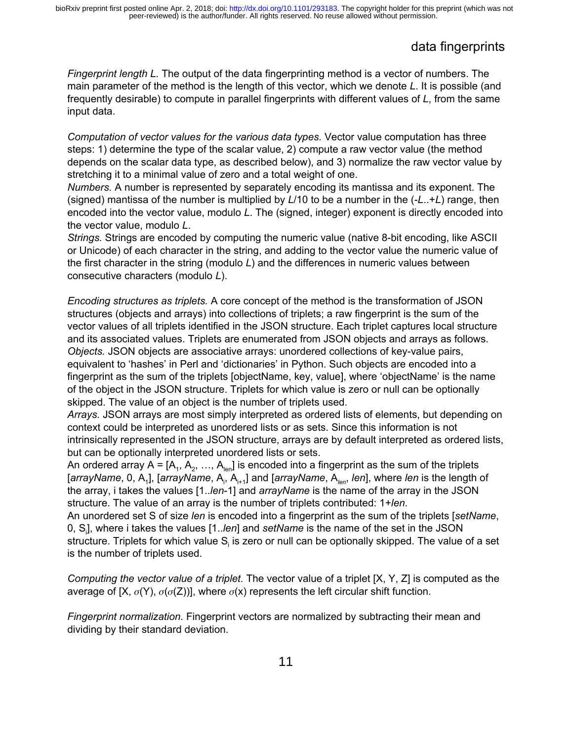# data fingerprints

*Fingerprint length L.* The output of the data fingerprinting method is a vector of numbers. The main parameter of the method is the length of this vector, which we denote *L*. It is possible (and frequently desirable) to compute in parallel fingerprints with different values of *L*, from the same input data.

*Computation of vector values for the various data types.* Vector value computation has three steps: 1) determine the type of the scalar value, 2) compute a raw vector value (the method depends on the scalar data type, as described below), and 3) normalize the raw vector value by stretching it to a minimal value of zero and a total weight of one.

*Numbers.* A number is represented by separately encoding its mantissa and its exponent. The (signed) mantissa of the number is multiplied by *L*/10 to be a number in the (-*L*..+*L*) range, then encoded into the vector value, modulo *L*. The (signed, integer) exponent is directly encoded into the vector value, modulo *L*.

*Strings.* Strings are encoded by computing the numeric value (native 8-bit encoding, like ASCII or Unicode) of each character in the string, and adding to the vector value the numeric value of the first character in the string (modulo *L*) and the differences in numeric values between consecutive characters (modulo *L*).

*Encoding structures as triplets.* A core concept of the method is the transformation of JSON structures (objects and arrays) into collections of triplets; a raw fingerprint is the sum of the vector values of all triplets identified in the JSON structure. Each triplet captures local structure and its associated values. Triplets are enumerated from JSON objects and arrays as follows. *Objects.* JSON objects are associative arrays: unordered collections of key-value pairs, equivalent to 'hashes' in Perl and 'dictionaries' in Python. Such objects are encoded into a fingerprint as the sum of the triplets [objectName, key, value], where 'objectName' is the name of the object in the JSON structure. Triplets for which value is zero or null can be optionally skipped. The value of an object is the number of triplets used.

*Arrays.* JSON arrays are most simply interpreted as ordered lists of elements, but depending on context could be interpreted as unordered lists or as sets. Since this information is not intrinsically represented in the JSON structure, arrays are by default interpreted as ordered lists, but can be optionally interpreted unordered lists or sets.

An ordered array A = [A<sub>1</sub>, A<sub>2</sub>, …, A<sub>len</sub>] is encoded into a fingerprint as the sum of the triplets [*arrayName*, 0, A<sub>1</sub>], [*arrayName*, A<sub>i</sub>, A<sub>i+1</sub>] and [*arrayName*, A<sub>len</sub>, Ien], where Ien is the length of the array, i takes the values [1..*len*-1] and *arrayName* is the name of the array in the JSON structure. The value of an array is the number of triplets contributed: 1+*len*.

An unordered set S of size *len* is encoded into a fingerprint as the sum of the triplets [*setName*, 0, S<sup>i</sup> ], where i takes the values [1..*len*] and *setName* is the name of the set in the JSON structure. Triplets for which value S<sub>i</sub> is zero or null can be optionally skipped. The value of a set is the number of triplets used.

*Computing the vector value of a triplet.* The vector value of a triplet [X, Y, Z] is computed as the average of [X,  $\sigma(Y)$ ,  $\sigma(\sigma(Z))$ ], where  $\sigma(X)$  represents the left circular shift function.

*Fingerprint normalization.* Fingerprint vectors are normalized by subtracting their mean and dividing by their standard deviation.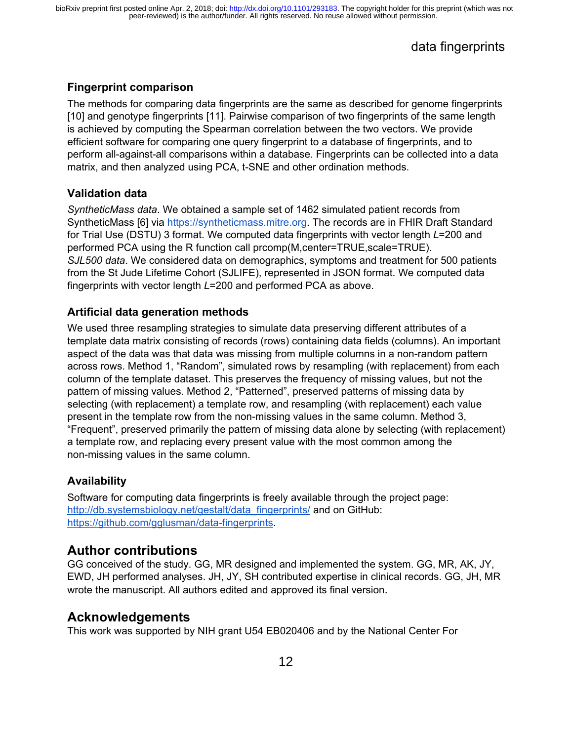#### **Fingerprint comparison**

The methods for comparing data fingerprints are the same as described for genome fingerprints [\[10\]](https://paperpile.com/c/cFS1p9/Hs4T) and genotype fingerprints [\[11\]](https://paperpile.com/c/cFS1p9/bB4s). Pairwise comparison of two fingerprints of the same length is achieved by computing the Spearman correlation between the two vectors. We provide efficient software for comparing one query fingerprint to a database of fingerprints, and to perform all-against-all comparisons within a database. Fingerprints can be collected into a data matrix, and then analyzed using PCA, t-SNE and other ordination methods.

#### **Validation data**

*SyntheticMass data*. We obtained a sample set of 1462 simulated patient records from SyntheticMass [\[6\]](https://paperpile.com/c/cFS1p9/gWM4) via [https://syntheticmass.mitre.org.](https://syntheticmass.mitre.org/) The records are in FHIR Draft Standard for Trial Use (DSTU) 3 format. We computed data fingerprints with vector length *L*=200 and performed PCA using the R function call prcomp(M,center=TRUE,scale=TRUE). *SJL500 data*. We considered data on demographics, symptoms and treatment for 500 patients from the St Jude Lifetime Cohort (SJLIFE), represented in JSON format. We computed data fingerprints with vector length *L*=200 and performed PCA as above.

#### **Artificial data generation methods**

We used three resampling strategies to simulate data preserving different attributes of a template data matrix consisting of records (rows) containing data fields (columns). An important aspect of the data was that data was missing from multiple columns in a non-random pattern across rows. Method 1, "Random", simulated rows by resampling (with replacement) from each column of the template dataset. This preserves the frequency of missing values, but not the pattern of missing values. Method 2, "Patterned", preserved patterns of missing data by selecting (with replacement) a template row, and resampling (with replacement) each value present in the template row from the non-missing values in the same column. Method 3, "Frequent", preserved primarily the pattern of missing data alone by selecting (with replacement) a template row, and replacing every present value with the most common among the non-missing values in the same column.

#### **Availability**

Software for computing data fingerprints is freely available through the project page: [http://db.systemsbiology.net/gestalt/data\\_fingerprints/](http://db.systemsbiology.net/gestalt/data_fingerprints/) and on GitHub: [https://github.com/gglusman/data-fingerprints.](https://github.com/gglusman/data-fingerprints)

### **Author contributions**

GG conceived of the study. GG, MR designed and implemented the system. GG, MR, AK, JY, EWD, JH performed analyses. JH, JY, SH contributed expertise in clinical records. GG, JH, MR wrote the manuscript. All authors edited and approved its final version.

### **Acknowledgements**

This work was supported by NIH grant U54 EB020406 and by the National Center For